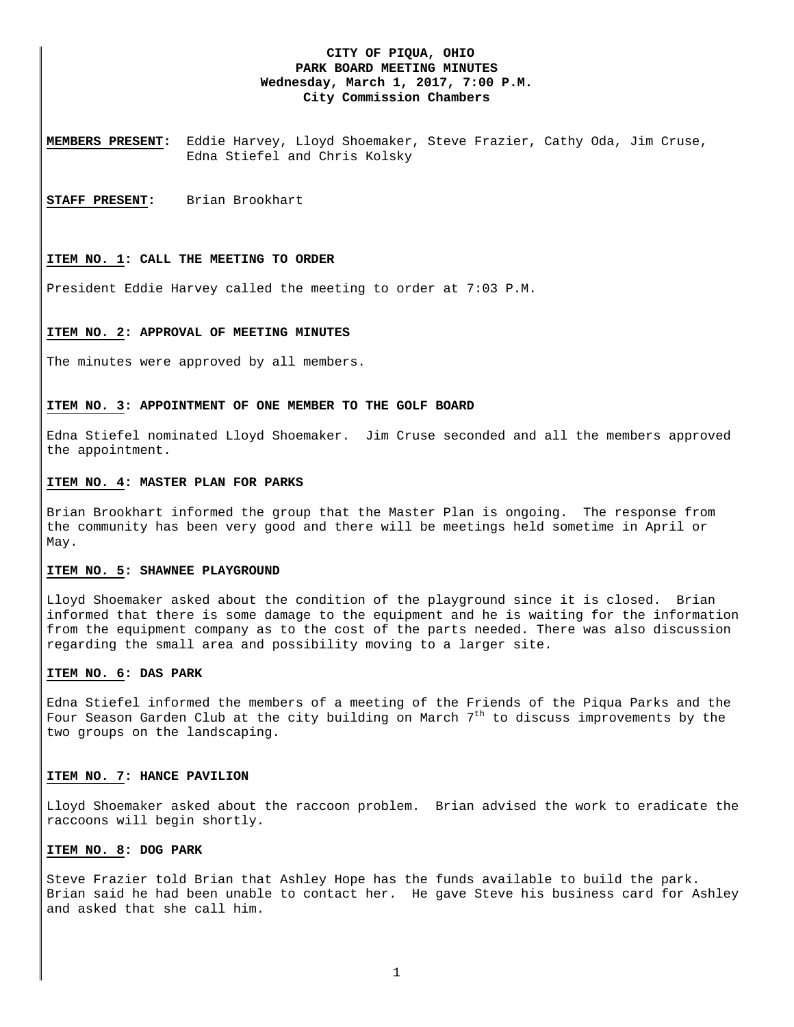# **CITY OF PIQUA, OHIO PARK BOARD MEETING MINUTES Wednesday, March 1, 2017, 7:00 P.M. City Commission Chambers**

**MEMBERS PRESENT:** Eddie Harvey, Lloyd Shoemaker, Steve Frazier, Cathy Oda, Jim Cruse, Edna Stiefel and Chris Kolsky

**STAFF PRESENT:** Brian Brookhart

### **ITEM NO. 1: CALL THE MEETING TO ORDER**

President Eddie Harvey called the meeting to order at 7:03 P.M.

#### **ITEM NO. 2: APPROVAL OF MEETING MINUTES**

The minutes were approved by all members.

### **ITEM NO. 3: APPOINTMENT OF ONE MEMBER TO THE GOLF BOARD**

Edna Stiefel nominated Lloyd Shoemaker. Jim Cruse seconded and all the members approved the appointment.

#### **ITEM NO. 4: MASTER PLAN FOR PARKS**

Brian Brookhart informed the group that the Master Plan is ongoing. The response from the community has been very good and there will be meetings held sometime in April or May.

### **ITEM NO. 5: SHAWNEE PLAYGROUND**

Lloyd Shoemaker asked about the condition of the playground since it is closed. Brian informed that there is some damage to the equipment and he is waiting for the information from the equipment company as to the cost of the parts needed. There was also discussion regarding the small area and possibility moving to a larger site.

### **ITEM NO. 6: DAS PARK**

Edna Stiefel informed the members of a meeting of the Friends of the Piqua Parks and the Four Season Garden Club at the city building on March  $7<sup>th</sup>$  to discuss improvements by the two groups on the landscaping.

### **ITEM NO. 7: HANCE PAVILION**

Lloyd Shoemaker asked about the raccoon problem. Brian advised the work to eradicate the raccoons will begin shortly.

## **ITEM NO. 8: DOG PARK**

Steve Frazier told Brian that Ashley Hope has the funds available to build the park. Brian said he had been unable to contact her. He gave Steve his business card for Ashley and asked that she call him.